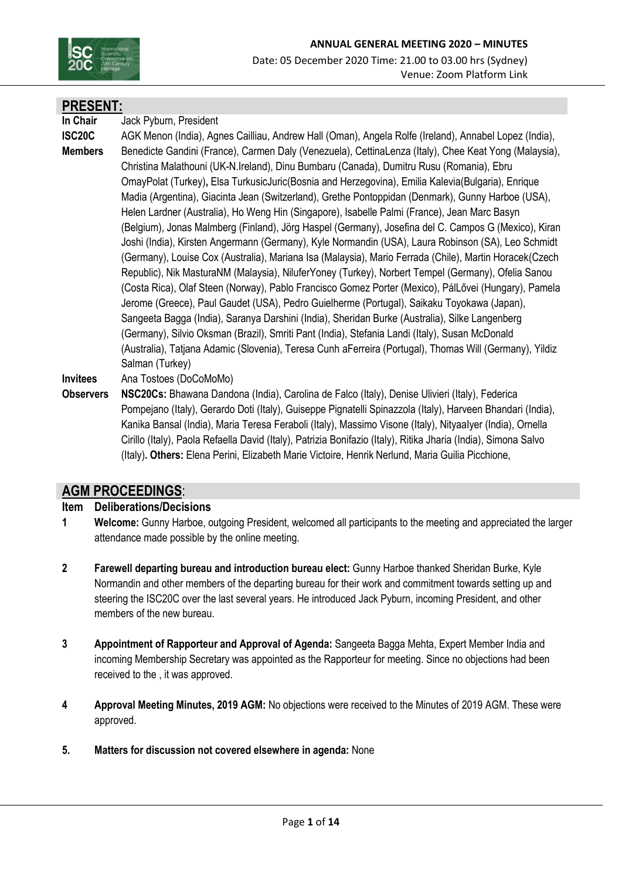

# **PRESENT:**

**In Chair** Jack Pyburn, President

**ISC20C Members**  AGK Menon (India), Agnes Cailliau, Andrew Hall (Oman), Angela Rolfe (Ireland), Annabel Lopez (India), Benedicte Gandini (France), Carmen Daly (Venezuela), CettinaLenza (Italy), Chee Keat Yong (Malaysia), Christina Malathouni (UK-N.Ireland), Dinu Bumbaru (Canada), Dumitru Rusu (Romania), Ebru OmayPolat (Turkey)**,** Elsa TurkusicJuric(Bosnia and Herzegovina), Emilia Kalevia(Bulgaria), Enrique Madia (Argentina), Giacinta Jean (Switzerland), Grethe Pontoppidan (Denmark), Gunny Harboe (USA), Helen Lardner (Australia), Ho Weng Hin (Singapore), Isabelle Palmi (France), Jean Marc Basyn (Belgium), Jonas Malmberg (Finland), Jörg Haspel (Germany), Josefina del C. Campos G (Mexico), Kiran Joshi (India), Kirsten Angermann (Germany), Kyle Normandin (USA), Laura Robinson (SA), Leo Schmidt (Germany), Louise Cox (Australia), Mariana Isa (Malaysia), Mario Ferrada (Chile), Martin Horacek(Czech Republic), Nik MasturaNM (Malaysia), NiluferYoney (Turkey), Norbert Tempel (Germany), Ofelia Sanou (Costa Rica), Olaf Steen (Norway), Pablo Francisco Gomez Porter (Mexico), PálLővei (Hungary), Pamela Jerome (Greece), Paul Gaudet (USA), Pedro Guielherme (Portugal), Saikaku Toyokawa (Japan), Sangeeta Bagga (India), Saranya Darshini (India), Sheridan Burke (Australia), Silke Langenberg (Germany), Silvio Oksman (Brazil), Smriti Pant (India), Stefania Landi (Italy), Susan McDonald (Australia), Tatjana Adamic (Slovenia), Teresa Cunh aFerreira (Portugal), Thomas Will (Germany), Yildiz Salman (Turkey)

**Invitees** Ana Tostoes (DoCoMoMo)

**Observers NSC20Cs:** Bhawana Dandona (India), Carolina de Falco (Italy), Denise Ulivieri (Italy), Federica Pompejano (Italy), Gerardo Doti (Italy), Guiseppe Pignatelli Spinazzola (Italy), Harveen Bhandari (India), Kanika Bansal (India), Maria Teresa Feraboli (Italy), Massimo Visone (Italy), NityaaIyer (India), Ornella Cirillo (Italy), Paola Refaella David (Italy), Patrizia Bonifazio (Italy), Ritika Jharia (India), Simona Salvo (Italy)**. Others:** Elena Perini, Elizabeth Marie Victoire, Henrik Nerlund, Maria Guilia Picchione,

# **AGM PROCEEDINGS**:

# **Item Deliberations/Decisions**

- **1 Welcome:** Gunny Harboe, outgoing President, welcomed all participants to the meeting and appreciated the larger attendance made possible by the online meeting.
- **2 Farewell departing bureau and introduction bureau elect:** Gunny Harboe thanked Sheridan Burke, Kyle Normandin and other members of the departing bureau for their work and commitment towards setting up and steering the ISC20C over the last several years. He introduced Jack Pyburn, incoming President, and other members of the new bureau.
- **3 Appointment of Rapporteur and Approval of Agenda:** Sangeeta Bagga Mehta, Expert Member India and incoming Membership Secretary was appointed as the Rapporteur for meeting. Since no objections had been received to the , it was approved.
- **4 Approval Meeting Minutes, 2019 AGM:** No objections were received to the Minutes of 2019 AGM. These were approved.
- **5. Matters for discussion not covered elsewhere in agenda:** None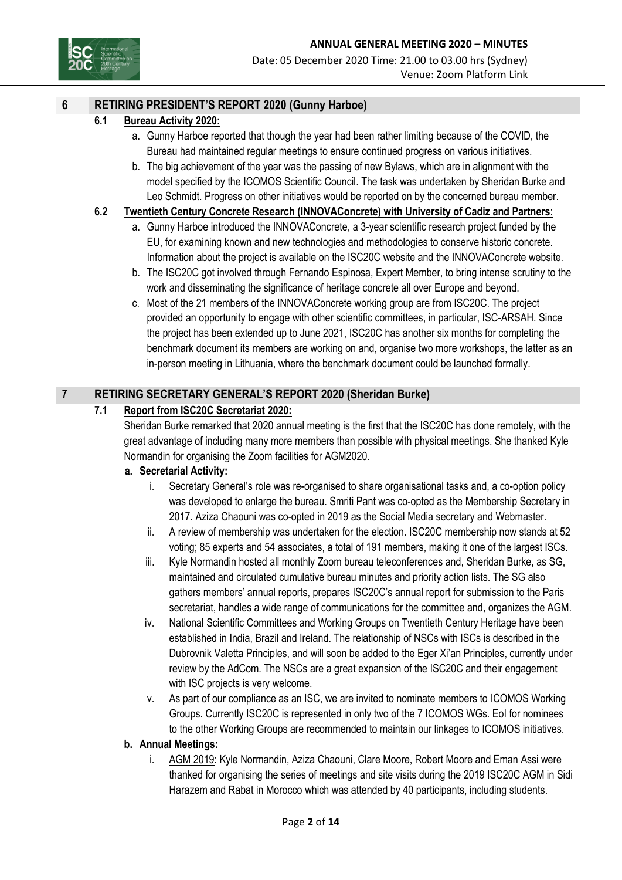

## **6 RETIRING PRESIDENT'S REPORT 2020 (Gunny Harboe)**

#### **6.1 Bureau Activity 2020:**

- a. Gunny Harboe reported that though the year had been rather limiting because of the COVID, the Bureau had maintained regular meetings to ensure continued progress on various initiatives.
- b. The big achievement of the year was the passing of new Bylaws, which are in alignment with the model specified by the ICOMOS Scientific Council. The task was undertaken by Sheridan Burke and Leo Schmidt. Progress on other initiatives would be reported on by the concerned bureau member.

#### **6.2 Twentieth Century Concrete Research (INNOVAConcrete) with University of Cadiz and Partners**:

- a. Gunny Harboe introduced the INNOVAConcrete, a 3-year scientific research project funded by the EU, for examining known and new technologies and methodologies to conserve historic concrete. Information about the project is available on the ISC20C website and the INNOVAConcrete website.
- b. The ISC20C got involved through Fernando Espinosa, Expert Member, to bring intense scrutiny to the work and disseminating the significance of heritage concrete all over Europe and beyond.
- c. Most of the 21 members of the INNOVAConcrete working group are from ISC20C. The project provided an opportunity to engage with other scientific committees, in particular, ISC-ARSAH. Since the project has been extended up to June 2021, ISC20C has another six months for completing the benchmark document its members are working on and, organise two more workshops, the latter as an in-person meeting in Lithuania, where the benchmark document could be launched formally.

## **7 RETIRING SECRETARY GENERAL'S REPORT 2020 (Sheridan Burke)**

### **7.1 Report from ISC20C Secretariat 2020:**

Sheridan Burke remarked that 2020 annual meeting is the first that the ISC20C has done remotely, with the great advantage of including many more members than possible with physical meetings. She thanked Kyle Normandin for organising the Zoom facilities for AGM2020.

#### **a. Secretarial Activity:**

- i. Secretary General's role was re-organised to share organisational tasks and, a co-option policy was developed to enlarge the bureau. Smriti Pant was co-opted as the Membership Secretary in 2017. Aziza Chaouni was co-opted in 2019 as the Social Media secretary and Webmaster.
- ii. A review of membership was undertaken for the election. ISC20C membership now stands at 52 voting; 85 experts and 54 associates, a total of 191 members, making it one of the largest ISCs.
- iii. Kyle Normandin hosted all monthly Zoom bureau teleconferences and, Sheridan Burke, as SG, maintained and circulated cumulative bureau minutes and priority action lists. The SG also gathers members' annual reports, prepares ISC20C's annual report for submission to the Paris secretariat, handles a wide range of communications for the committee and, organizes the AGM.
- iv. National Scientific Committees and Working Groups on Twentieth Century Heritage have been established in India, Brazil and Ireland. The relationship of NSCs with ISCs is described in the Dubrovnik Valetta Principles, and will soon be added to the Eger Xi'an Principles, currently under review by the AdCom. The NSCs are a great expansion of the ISC20C and their engagement with ISC projects is very welcome.
- v. As part of our compliance as an ISC, we are invited to nominate members to ICOMOS Working Groups. Currently ISC20C is represented in only two of the 7 ICOMOS WGs. EoI for nominees to the other Working Groups are recommended to maintain our linkages to ICOMOS initiatives.

#### **b. Annual Meetings:**

i. AGM 2019: Kyle Normandin, Aziza Chaouni, Clare Moore, Robert Moore and Eman Assi were thanked for organising the series of meetings and site visits during the 2019 ISC20C AGM in Sidi Harazem and Rabat in Morocco which was attended by 40 participants, including students.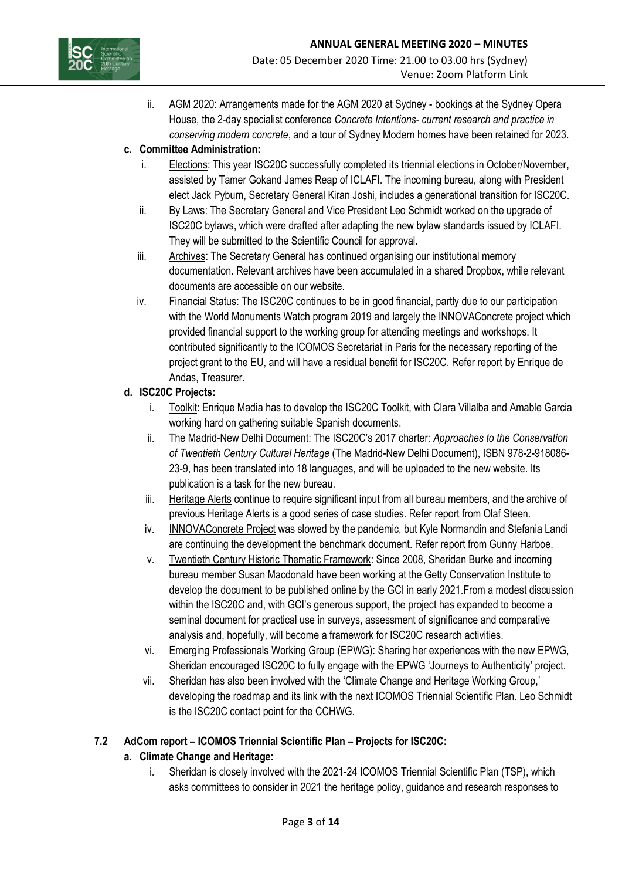

ii. AGM 2020: Arrangements made for the AGM 2020 at Sydney - bookings at the Sydney Opera House, the 2-day specialist conference *Concrete Intentions- current research and practice in conserving modern concrete*, and a tour of Sydney Modern homes have been retained for 2023.

# **c. Committee Administration:**

- i. Elections: This year ISC20C successfully completed its triennial elections in October/November, assisted by Tamer Gokand James Reap of ICLAFI. The incoming bureau, along with President elect Jack Pyburn, Secretary General Kiran Joshi, includes a generational transition for ISC20C.
- ii. By Laws: The Secretary General and Vice President Leo Schmidt worked on the upgrade of ISC20C bylaws, which were drafted after adapting the new bylaw standards issued by ICLAFI. They will be submitted to the Scientific Council for approval.
- iii. Archives: The Secretary General has continued organising our institutional memory documentation. Relevant archives have been accumulated in a shared Dropbox, while relevant documents are accessible on our website.
- iv. Financial Status: The ISC20C continues to be in good financial, partly due to our participation with the World Monuments Watch program 2019 and largely the INNOVAConcrete project which provided financial support to the working group for attending meetings and workshops. It contributed significantly to the ICOMOS Secretariat in Paris for the necessary reporting of the project grant to the EU, and will have a residual benefit for ISC20C. Refer report by Enrique de Andas, Treasurer.

# **d. ISC20C Projects:**

- i. Toolkit: Enrique Madia has to develop the ISC20C Toolkit, with Clara Villalba and Amable Garcia working hard on gathering suitable Spanish documents.
- ii. The Madrid-New Delhi Document: The ISC20C's 2017 charter: *Approaches to the Conservation of Twentieth Century Cultural Heritage* (The Madrid-New Delhi Document), ISBN 978-2-918086- 23-9, has been translated into 18 languages, and will be uploaded to the new website. Its publication is a task for the new bureau.
- iii. Heritage Alerts continue to require significant input from all bureau members, and the archive of previous Heritage Alerts is a good series of case studies. Refer report from Olaf Steen.
- iv. INNOVAConcrete Project was slowed by the pandemic, but Kyle Normandin and Stefania Landi are continuing the development the benchmark document. Refer report from Gunny Harboe.
- v. Twentieth Century Historic Thematic Framework: Since 2008, Sheridan Burke and incoming bureau member Susan Macdonald have been working at the Getty Conservation Institute to develop the document to be published online by the GCI in early 2021.From a modest discussion within the ISC20C and, with GCI's generous support, the project has expanded to become a seminal document for practical use in surveys, assessment of significance and comparative analysis and, hopefully, will become a framework for ISC20C research activities.
- vi. Emerging Professionals Working Group (EPWG): Sharing her experiences with the new EPWG, Sheridan encouraged ISC20C to fully engage with the EPWG 'Journeys to Authenticity' project.
- vii. Sheridan has also been involved with the 'Climate Change and Heritage Working Group,' developing the roadmap and its link with the next ICOMOS Triennial Scientific Plan. Leo Schmidt is the ISC20C contact point for the CCHWG.

# **7.2 AdCom report – ICOMOS Triennial Scientific Plan – Projects for ISC20C:**

# **a. Climate Change and Heritage:**

i. Sheridan is closely involved with the 2021-24 ICOMOS Triennial Scientific Plan (TSP), which asks committees to consider in 2021 the heritage policy, guidance and research responses to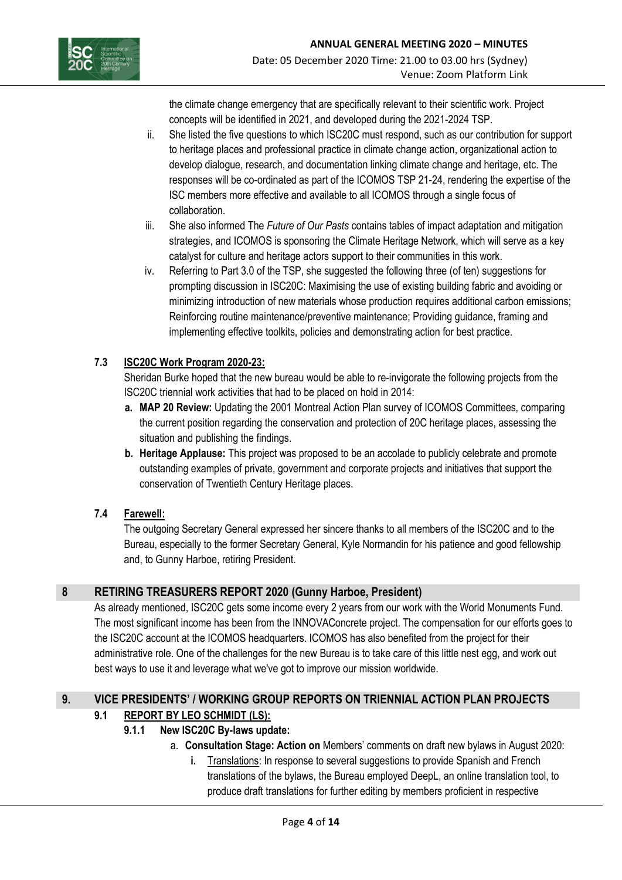

the climate change emergency that are specifically relevant to their scientific work. Project concepts will be identified in 2021, and developed during the 2021-2024 TSP.

- ii. She listed the five questions to which ISC20C must respond, such as our contribution for support to heritage places and professional practice in climate change action, organizational action to develop dialogue, research, and documentation linking climate change and heritage, etc. The responses will be co-ordinated as part of the ICOMOS TSP 21-24, rendering the expertise of the ISC members more effective and available to all ICOMOS through a single focus of collaboration.
- iii. She also informed The *Future of Our Pasts* contains tables of impact adaptation and mitigation strategies, and ICOMOS is sponsoring the Climate Heritage Network, which will serve as a key catalyst for culture and heritage actors support to their communities in this work.
- iv. Referring to Part 3.0 of the TSP, she suggested the following three (of ten) suggestions for prompting discussion in ISC20C: Maximising the use of existing building fabric and avoiding or minimizing introduction of new materials whose production requires additional carbon emissions; Reinforcing routine maintenance/preventive maintenance; Providing guidance, framing and implementing effective toolkits, policies and demonstrating action for best practice.

# **7.3 ISC20C Work Program 2020-23:**

Sheridan Burke hoped that the new bureau would be able to re-invigorate the following projects from the ISC20C triennial work activities that had to be placed on hold in 2014:

- **a. MAP 20 Review:** Updating the 2001 Montreal Action Plan survey of ICOMOS Committees, comparing the current position regarding the conservation and protection of 20C heritage places, assessing the situation and publishing the findings.
- **b. Heritage Applause:** This project was proposed to be an accolade to publicly celebrate and promote outstanding examples of private, government and corporate projects and initiatives that support the conservation of Twentieth Century Heritage places.

# **7.4 Farewell:**

The outgoing Secretary General expressed her sincere thanks to all members of the ISC20C and to the Bureau, especially to the former Secretary General, Kyle Normandin for his patience and good fellowship and, to Gunny Harboe, retiring President.

# **8 RETIRING TREASURERS REPORT 2020 (Gunny Harboe, President)**

As already mentioned, ISC20C gets some income every 2 years from our work with the World Monuments Fund. The most significant income has been from the INNOVAConcrete project. The compensation for our efforts goes to the ISC20C account at the ICOMOS headquarters. ICOMOS has also benefited from the project for their administrative role. One of the challenges for the new Bureau is to take care of this little nest egg, and work out best ways to use it and leverage what we've got to improve our mission worldwide.

# **9. VICE PRESIDENTS' / WORKING GROUP REPORTS ON TRIENNIAL ACTION PLAN PROJECTS**

# **9.1 REPORT BY LEO SCHMIDT (LS):**

# **9.1.1 New ISC20C By-laws update:**

- a. **Consultation Stage: Action on** Members' comments on draft new bylaws in August 2020:
	- **i.** Translations: In response to several suggestions to provide Spanish and French translations of the bylaws, the Bureau employed DeepL, an online translation tool, to produce draft translations for further editing by members proficient in respective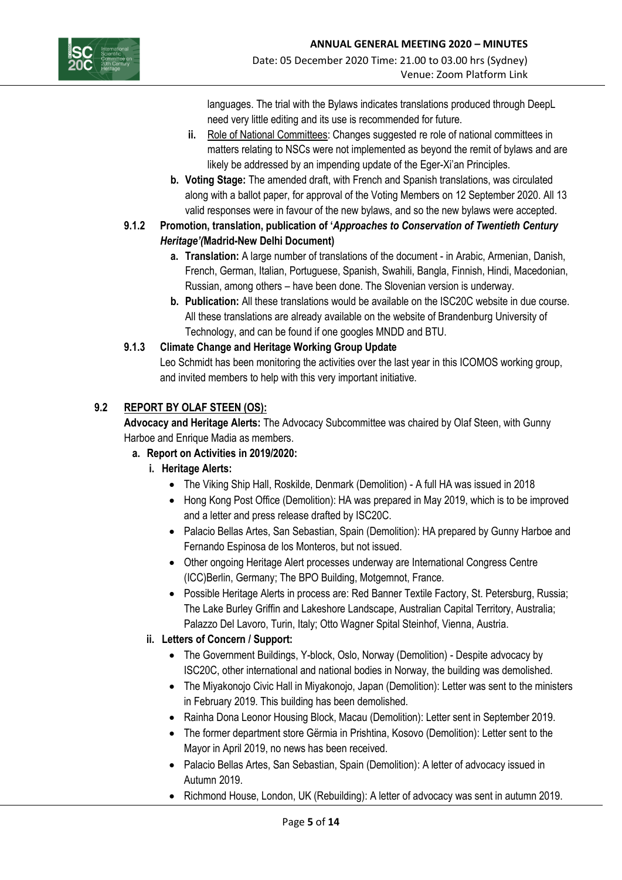

languages. The trial with the Bylaws indicates translations produced through DeepL need very little editing and its use is recommended for future.

- **ii.** Role of National Committees: Changes suggested re role of national committees in matters relating to NSCs were not implemented as beyond the remit of bylaws and are likely be addressed by an impending update of the Eger-Xi'an Principles.
- **b. Voting Stage:** The amended draft, with French and Spanish translations, was circulated along with a ballot paper, for approval of the Voting Members on 12 September 2020. All 13 valid responses were in favour of the new bylaws, and so the new bylaws were accepted.
- **9.1.2 Promotion, translation, publication of '***Approaches to Conservation of Twentieth Century Heritage'(***Madrid-New Delhi Document)**
	- **a. Translation:** A large number of translations of the document in Arabic, Armenian, Danish, French, German, Italian, Portuguese, Spanish, Swahili, Bangla, Finnish, Hindi, Macedonian, Russian, among others – have been done. The Slovenian version is underway.
	- **b. Publication:** All these translations would be available on the ISC20C website in due course. All these translations are already available on the website of Brandenburg University of Technology, and can be found if one googles MNDD and BTU.

# **9.1.3 Climate Change and Heritage Working Group Update**

Leo Schmidt has been monitoring the activities over the last year in this ICOMOS working group, and invited members to help with this very important initiative.

# **9.2 REPORT BY OLAF STEEN (OS):**

**Advocacy and Heritage Alerts:** The Advocacy Subcommittee was chaired by Olaf Steen, with Gunny Harboe and Enrique Madia as members.

# **a. Report on Activities in 2019/2020:**

- **i. Heritage Alerts:** 
	- The Viking Ship Hall, Roskilde, Denmark (Demolition) A full HA was issued in 2018
	- Hong Kong Post Office (Demolition): HA was prepared in May 2019, which is to be improved and a letter and press release drafted by ISC20C.
	- Palacio Bellas Artes, San Sebastian, Spain (Demolition): HA prepared by Gunny Harboe and Fernando Espinosa de los Monteros, but not issued.
	- Other ongoing Heritage Alert processes underway are International Congress Centre (ICC)Berlin, Germany; The BPO Building, Motgemnot, France.
	- Possible Heritage Alerts in process are: Red Banner Textile Factory, St. Petersburg, Russia; The Lake Burley Griffin and Lakeshore Landscape, Australian Capital Territory, Australia; Palazzo Del Lavoro, Turin, Italy; Otto Wagner Spital Steinhof, Vienna, Austria.

# **ii. Letters of Concern / Support:**

- The Government Buildings, Y-block, Oslo, Norway (Demolition) Despite advocacy by ISC20C, other international and national bodies in Norway, the building was demolished.
- The Miyakonojo Civic Hall in Miyakonojo, Japan (Demolition): Letter was sent to the ministers in February 2019. This building has been demolished.
- Rainha Dona Leonor Housing Block, Macau (Demolition): Letter sent in September 2019.
- The former department store Gërmia in Prishtina, Kosovo (Demolition): Letter sent to the Mayor in April 2019, no news has been received.
- Palacio Bellas Artes, San Sebastian, Spain (Demolition): A letter of advocacy issued in Autumn 2019.
- Richmond House, London, UK (Rebuilding): A letter of advocacy was sent in autumn 2019.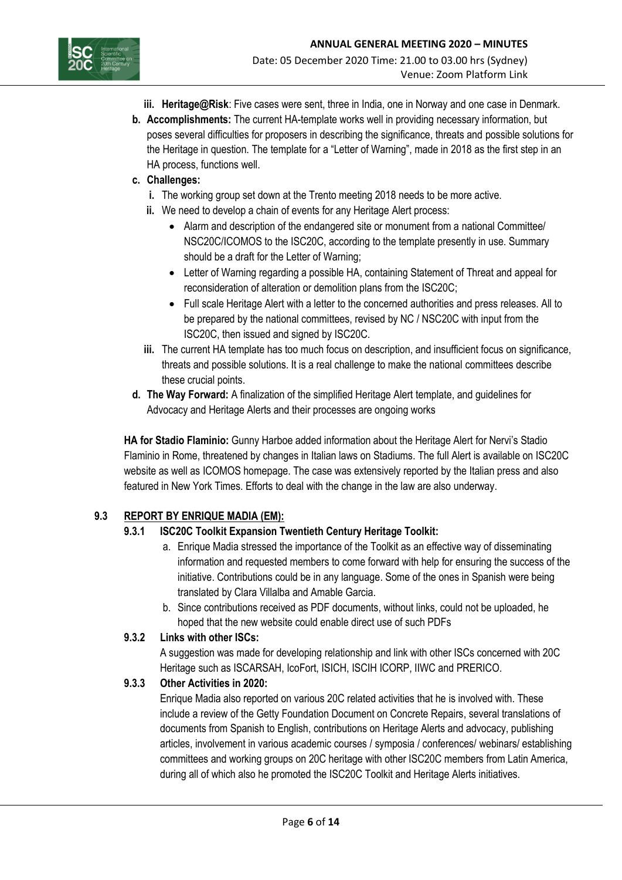



- **iii. Heritage@Risk**: Five cases were sent, three in India, one in Norway and one case in Denmark.
- **b. Accomplishments:** The current HA-template works well in providing necessary information, but poses several difficulties for proposers in describing the significance, threats and possible solutions for the Heritage in question. The template for a "Letter of Warning", made in 2018 as the first step in an HA process, functions well.

## **c. Challenges:**

- **i.** The working group set down at the Trento meeting 2018 needs to be more active.
- **ii.** We need to develop a chain of events for any Heritage Alert process:
	- Alarm and description of the endangered site or monument from a national Committee/ NSC20C/ICOMOS to the ISC20C, according to the template presently in use. Summary should be a draft for the Letter of Warning;
	- Letter of Warning regarding a possible HA, containing Statement of Threat and appeal for reconsideration of alteration or demolition plans from the ISC20C;
	- Full scale Heritage Alert with a letter to the concerned authorities and press releases. All to be prepared by the national committees, revised by NC / NSC20C with input from the ISC20C, then issued and signed by ISC20C.
- **iii.** The current HA template has too much focus on description, and insufficient focus on significance, threats and possible solutions. It is a real challenge to make the national committees describe these crucial points.
- **d. The Way Forward:** A finalization of the simplified Heritage Alert template, and guidelines for Advocacy and Heritage Alerts and their processes are ongoing works

**HA for Stadio Flaminio:** Gunny Harboe added information about the Heritage Alert for Nervi's Stadio Flaminio in Rome, threatened by changes in Italian laws on Stadiums. The full Alert is available on ISC20C website as well as ICOMOS homepage. The case was extensively reported by the Italian press and also featured in New York Times. Efforts to deal with the change in the law are also underway.

# **9.3 REPORT BY ENRIQUE MADIA (EM):**

# **9.3.1 ISC20C Toolkit Expansion Twentieth Century Heritage Toolkit:**

- a. Enrique Madia stressed the importance of the Toolkit as an effective way of disseminating information and requested members to come forward with help for ensuring the success of the initiative. Contributions could be in any language. Some of the ones in Spanish were being translated by Clara Villalba and Amable Garcia.
- b. Since contributions received as PDF documents, without links, could not be uploaded, he hoped that the new website could enable direct use of such PDFs

# **9.3.2 Links with other ISCs:**

A suggestion was made for developing relationship and link with other ISCs concerned with 20C Heritage such as ISCARSAH, IcoFort, ISICH, ISCIH ICORP, IIWC and PRERICO.

# **9.3.3 Other Activities in 2020:**

Enrique Madia also reported on various 20C related activities that he is involved with. These include a review of the Getty Foundation Document on Concrete Repairs, several translations of documents from Spanish to English, contributions on Heritage Alerts and advocacy, publishing articles, involvement in various academic courses / symposia / conferences/ webinars/ establishing committees and working groups on 20C heritage with other ISC20C members from Latin America, during all of which also he promoted the ISC20C Toolkit and Heritage Alerts initiatives.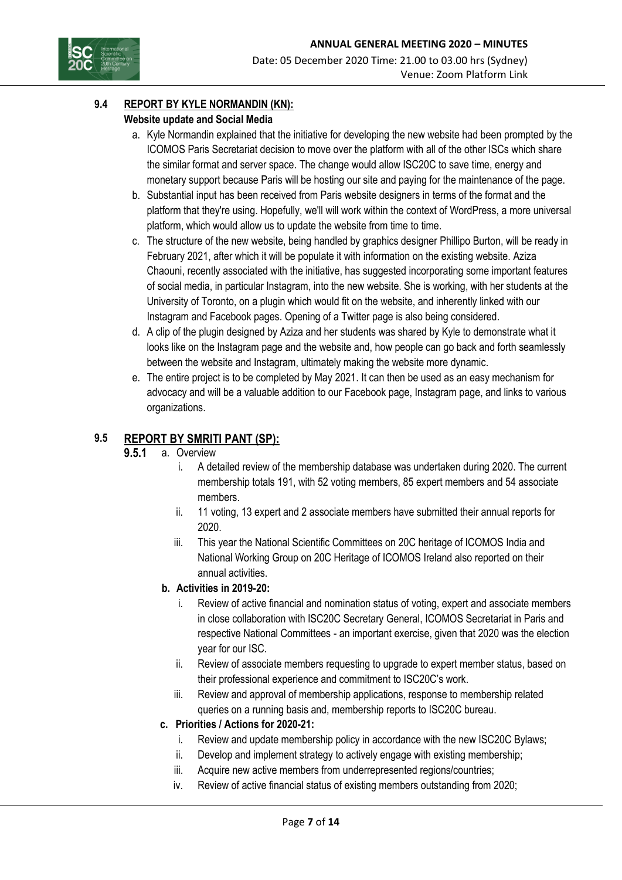

### **9.4 REPORT BY KYLE NORMANDIN (KN):**

### **Website update and Social Media**

- a. Kyle Normandin explained that the initiative for developing the new website had been prompted by the ICOMOS Paris Secretariat decision to move over the platform with all of the other ISCs which share the similar format and server space. The change would allow ISC20C to save time, energy and monetary support because Paris will be hosting our site and paying for the maintenance of the page.
- b. Substantial input has been received from Paris website designers in terms of the format and the platform that they're using. Hopefully, we'll will work within the context of WordPress, a more universal platform, which would allow us to update the website from time to time.
- c. The structure of the new website, being handled by graphics designer Phillipo Burton, will be ready in February 2021, after which it will be populate it with information on the existing website. Aziza Chaouni, recently associated with the initiative, has suggested incorporating some important features of social media, in particular Instagram, into the new website. She is working, with her students at the University of Toronto, on a plugin which would fit on the website, and inherently linked with our Instagram and Facebook pages. Opening of a Twitter page is also being considered.
- d. A clip of the plugin designed by Aziza and her students was shared by Kyle to demonstrate what it looks like on the Instagram page and the website and, how people can go back and forth seamlessly between the website and Instagram, ultimately making the website more dynamic.
- e. The entire project is to be completed by May 2021. It can then be used as an easy mechanism for advocacy and will be a valuable addition to our Facebook page, Instagram page, and links to various organizations.

### **9.5 REPORT BY SMRITI PANT (SP):**

## **9.5.1** a. Overview

- i. A detailed review of the membership database was undertaken during 2020. The current membership totals 191, with 52 voting members, 85 expert members and 54 associate members.
- ii. 11 voting, 13 expert and 2 associate members have submitted their annual reports for 2020.
- iii. This year the National Scientific Committees on 20C heritage of ICOMOS India and National Working Group on 20C Heritage of ICOMOS Ireland also reported on their annual activities.

#### **b. Activities in 2019-20:**

- i. Review of active financial and nomination status of voting, expert and associate members in close collaboration with ISC20C Secretary General, ICOMOS Secretariat in Paris and respective National Committees - an important exercise, given that 2020 was the election year for our ISC.
- ii. Review of associate members requesting to upgrade to expert member status, based on their professional experience and commitment to ISC20C's work.
- iii. Review and approval of membership applications, response to membership related queries on a running basis and, membership reports to ISC20C bureau.

#### **c. Priorities / Actions for 2020-21:**

- i. Review and update membership policy in accordance with the new ISC20C Bylaws;
- ii. Develop and implement strategy to actively engage with existing membership;
- iii. Acquire new active members from underrepresented regions/countries;
- iv. Review of active financial status of existing members outstanding from 2020;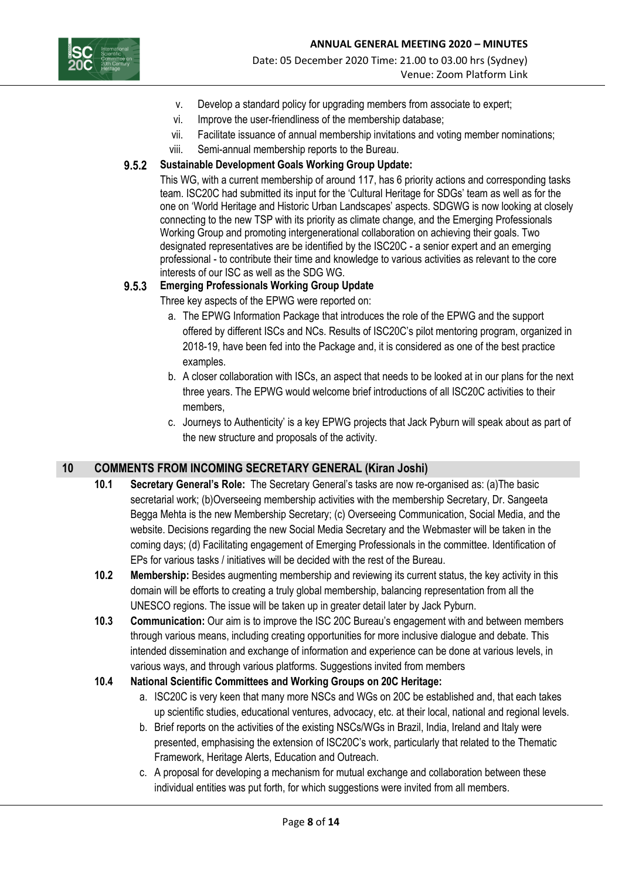

- v. Develop a standard policy for upgrading members from associate to expert;
- vi. Improve the user-friendliness of the membership database;
- vii. Facilitate issuance of annual membership invitations and voting member nominations;
- viii. Semi-annual membership reports to the Bureau.

### **9.5.2 Sustainable Development Goals Working Group Update:**

This WG, with a current membership of around 117, has 6 priority actions and corresponding tasks team. ISC20C had submitted its input for the 'Cultural Heritage for SDGs' team as well as for the one on 'World Heritage and Historic Urban Landscapes' aspects. SDGWG is now looking at closely connecting to the new TSP with its priority as climate change, and the Emerging Professionals Working Group and promoting intergenerational collaboration on achieving their goals. Two designated representatives are be identified by the ISC20C - a senior expert and an emerging professional - to contribute their time and knowledge to various activities as relevant to the core interests of our ISC as well as the SDG WG.

### **9.5.3 Emerging Professionals Working Group Update**

Three key aspects of the EPWG were reported on:

- a. The EPWG Information Package that introduces the role of the EPWG and the support offered by different ISCs and NCs. Results of ISC20C's pilot mentoring program, organized in 2018-19, have been fed into the Package and, it is considered as one of the best practice examples.
- b. A closer collaboration with ISCs, an aspect that needs to be looked at in our plans for the next three years. The EPWG would welcome brief introductions of all ISC20C activities to their members,
- c. Journeys to Authenticity' is a key EPWG projects that Jack Pyburn will speak about as part of the new structure and proposals of the activity.

# **10 COMMENTS FROM INCOMING SECRETARY GENERAL (Kiran Joshi)**

- **10.1 Secretary General's Role:** The Secretary General's tasks are now re-organised as: (a)The basic secretarial work; (b)Overseeing membership activities with the membership Secretary, Dr. Sangeeta Begga Mehta is the new Membership Secretary; (c) Overseeing Communication, Social Media, and the website. Decisions regarding the new Social Media Secretary and the Webmaster will be taken in the coming days; (d) Facilitating engagement of Emerging Professionals in the committee. Identification of EPs for various tasks / initiatives will be decided with the rest of the Bureau.
- **10.2 Membership:** Besides augmenting membership and reviewing its current status, the key activity in this domain will be efforts to creating a truly global membership, balancing representation from all the UNESCO regions. The issue will be taken up in greater detail later by Jack Pyburn.
- **10.3 Communication:** Our aim is to improve the ISC 20C Bureau's engagement with and between members through various means, including creating opportunities for more inclusive dialogue and debate. This intended dissemination and exchange of information and experience can be done at various levels, in various ways, and through various platforms. Suggestions invited from members

#### **10.4 National Scientific Committees and Working Groups on 20C Heritage:**

- a. ISC20C is very keen that many more NSCs and WGs on 20C be established and, that each takes up scientific studies, educational ventures, advocacy, etc. at their local, national and regional levels.
- b. Brief reports on the activities of the existing NSCs/WGs in Brazil, India, Ireland and Italy were presented, emphasising the extension of ISC20C's work, particularly that related to the Thematic Framework, Heritage Alerts, Education and Outreach.
- c. A proposal for developing a mechanism for mutual exchange and collaboration between these individual entities was put forth, for which suggestions were invited from all members.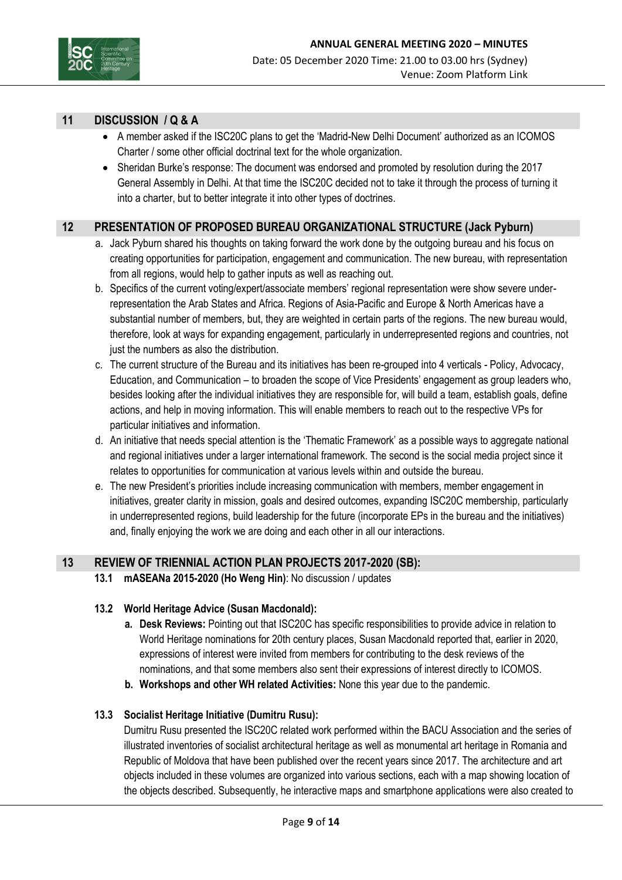

# **11 DISCUSSION / Q & A**

- A member asked if the ISC20C plans to get the 'Madrid-New Delhi Document' authorized as an ICOMOS Charter / some other official doctrinal text for the whole organization.
- Sheridan Burke's response: The document was endorsed and promoted by resolution during the 2017 General Assembly in Delhi. At that time the ISC20C decided not to take it through the process of turning it into a charter, but to better integrate it into other types of doctrines.

## **12 PRESENTATION OF PROPOSED BUREAU ORGANIZATIONAL STRUCTURE (Jack Pyburn)**

- a. Jack Pyburn shared his thoughts on taking forward the work done by the outgoing bureau and his focus on creating opportunities for participation, engagement and communication. The new bureau, with representation from all regions, would help to gather inputs as well as reaching out.
- b. Specifics of the current voting/expert/associate members' regional representation were show severe underrepresentation the Arab States and Africa. Regions of Asia-Pacific and Europe & North Americas have a substantial number of members, but, they are weighted in certain parts of the regions. The new bureau would, therefore, look at ways for expanding engagement, particularly in underrepresented regions and countries, not just the numbers as also the distribution.
- c. The current structure of the Bureau and its initiatives has been re-grouped into 4 verticals Policy, Advocacy, Education, and Communication – to broaden the scope of Vice Presidents' engagement as group leaders who, besides looking after the individual initiatives they are responsible for, will build a team, establish goals, define actions, and help in moving information. This will enable members to reach out to the respective VPs for particular initiatives and information.
- d. An initiative that needs special attention is the 'Thematic Framework' as a possible ways to aggregate national and regional initiatives under a larger international framework. The second is the social media project since it relates to opportunities for communication at various levels within and outside the bureau.
- e. The new President's priorities include increasing communication with members, member engagement in initiatives, greater clarity in mission, goals and desired outcomes, expanding ISC20C membership, particularly in underrepresented regions, build leadership for the future (incorporate EPs in the bureau and the initiatives) and, finally enjoying the work we are doing and each other in all our interactions.

# **13 REVIEW OF TRIENNIAL ACTION PLAN PROJECTS 2017-2020 (SB):**

**13.1 mASEANa 2015-2020 (Ho Weng Hin)**: No discussion / updates

#### **13.2 World Heritage Advice (Susan Macdonald):**

- **a. Desk Reviews:** Pointing out that ISC20C has specific responsibilities to provide advice in relation to World Heritage nominations for 20th century places, Susan Macdonald reported that, earlier in 2020, expressions of interest were invited from members for contributing to the desk reviews of the nominations, and that some members also sent their expressions of interest directly to ICOMOS.
- **b. Workshops and other WH related Activities:** None this year due to the pandemic.

#### **13.3 Socialist Heritage Initiative (Dumitru Rusu):**

Dumitru Rusu presented the ISC20C related work performed within the BACU Association and the series of illustrated inventories of socialist architectural heritage as well as monumental art heritage in Romania and Republic of Moldova that have been published over the recent years since 2017. The architecture and art objects included in these volumes are organized into various sections, each with a map showing location of the objects described. Subsequently, he interactive maps and smartphone applications were also created to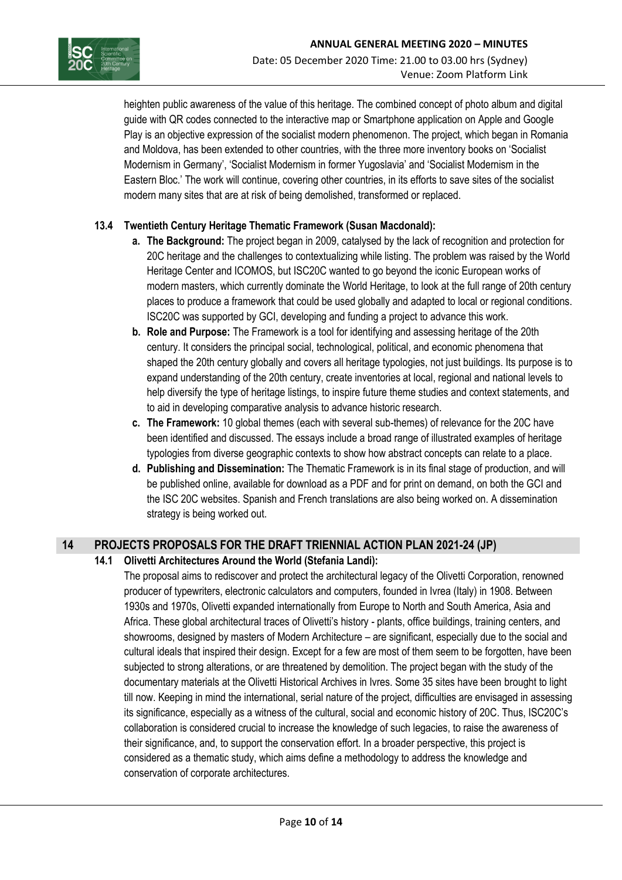

heighten public awareness of the value of this heritage. The combined concept of photo album and digital guide with QR codes connected to the interactive map or Smartphone application on Apple and Google Play is an objective expression of the socialist modern phenomenon. The project, which began in Romania and Moldova, has been extended to other countries, with the three more inventory books on 'Socialist Modernism in Germany', 'Socialist Modernism in former Yugoslavia' and 'Socialist Modernism in the Eastern Bloc.' The work will continue, covering other countries, in its efforts to save sites of the socialist modern many sites that are at risk of being demolished, transformed or replaced.

### **13.4 Twentieth Century Heritage Thematic Framework (Susan Macdonald):**

- **a. The Background:** The project began in 2009, catalysed by the lack of recognition and protection for 20C heritage and the challenges to contextualizing while listing. The problem was raised by the World Heritage Center and ICOMOS, but ISC20C wanted to go beyond the iconic European works of modern masters, which currently dominate the World Heritage, to look at the full range of 20th century places to produce a framework that could be used globally and adapted to local or regional conditions. ISC20C was supported by GCI, developing and funding a project to advance this work.
- **b. Role and Purpose:** The Framework is a tool for identifying and assessing heritage of the 20th century. It considers the principal social, technological, political, and economic phenomena that shaped the 20th century globally and covers all heritage typologies, not just buildings. Its purpose is to expand understanding of the 20th century, create inventories at local, regional and national levels to help diversify the type of heritage listings, to inspire future theme studies and context statements, and to aid in developing comparative analysis to advance historic research.
- **c. The Framework:** 10 global themes (each with several sub-themes) of relevance for the 20C have been identified and discussed. The essays include a broad range of illustrated examples of heritage typologies from diverse geographic contexts to show how abstract concepts can relate to a place.
- **d. Publishing and Dissemination:** The Thematic Framework is in its final stage of production, and will be published online, available for download as a PDF and for print on demand, on both the GCI and the ISC 20C websites. Spanish and French translations are also being worked on. A dissemination strategy is being worked out.

# **14 PROJECTS PROPOSALS FOR THE DRAFT TRIENNIAL ACTION PLAN 2021-24 (JP)**

#### **14.1 Olivetti Architectures Around the World (Stefania Landi):**

The proposal aims to rediscover and protect the architectural legacy of the Olivetti Corporation, renowned producer of typewriters, electronic calculators and computers, founded in Ivrea (Italy) in 1908. Between 1930s and 1970s, Olivetti expanded internationally from Europe to North and South America, Asia and Africa. These global architectural traces of Olivetti's history - plants, office buildings, training centers, and showrooms, designed by masters of Modern Architecture – are significant, especially due to the social and cultural ideals that inspired their design. Except for a few are most of them seem to be forgotten, have been subjected to strong alterations, or are threatened by demolition. The project began with the study of the documentary materials at the Olivetti Historical Archives in Ivres. Some 35 sites have been brought to light till now. Keeping in mind the international, serial nature of the project, difficulties are envisaged in assessing its significance, especially as a witness of the cultural, social and economic history of 20C. Thus, ISC20C's collaboration is considered crucial to increase the knowledge of such legacies, to raise the awareness of their significance, and, to support the conservation effort. In a broader perspective, this project is considered as a thematic study, which aims define a methodology to address the knowledge and conservation of corporate architectures.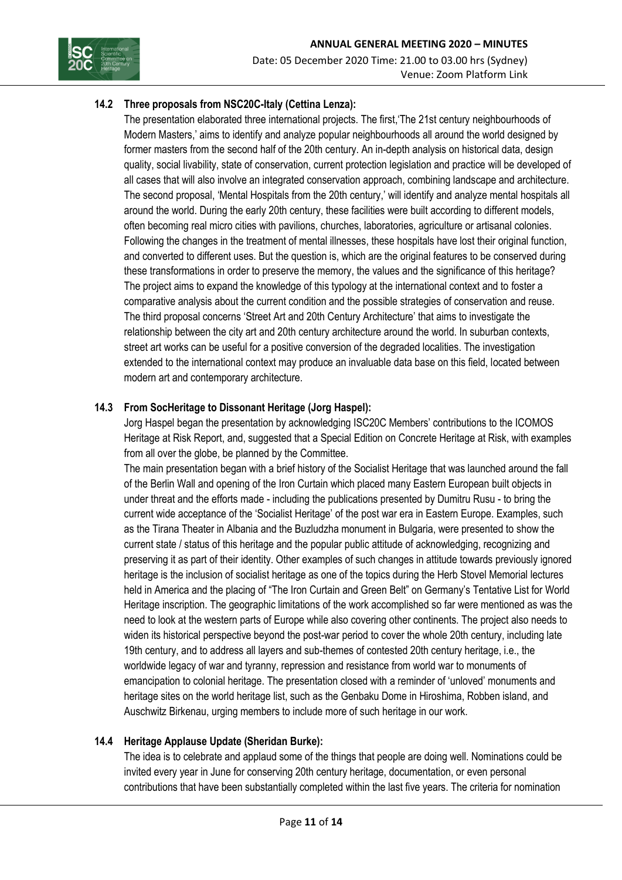

# **14.2 Three proposals from NSC20C-Italy (Cettina Lenza):**

The presentation elaborated three international projects. The first,'The 21st century neighbourhoods of Modern Masters,' aims to identify and analyze popular neighbourhoods all around the world designed by former masters from the second half of the 20th century. An in-depth analysis on historical data, design quality, social livability, state of conservation, current protection legislation and practice will be developed of all cases that will also involve an integrated conservation approach, combining landscape and architecture. The second proposal, 'Mental Hospitals from the 20th century,' will identify and analyze mental hospitals all around the world. During the early 20th century, these facilities were built according to different models, often becoming real micro cities with pavilions, churches, laboratories, agriculture or artisanal colonies. Following the changes in the treatment of mental illnesses, these hospitals have lost their original function, and converted to different uses. But the question is, which are the original features to be conserved during these transformations in order to preserve the memory, the values and the significance of this heritage? The project aims to expand the knowledge of this typology at the international context and to foster a comparative analysis about the current condition and the possible strategies of conservation and reuse. The third proposal concerns 'Street Art and 20th Century Architecture' that aims to investigate the relationship between the city art and 20th century architecture around the world. In suburban contexts, street art works can be useful for a positive conversion of the degraded localities. The investigation extended to the international context may produce an invaluable data base on this field, located between modern art and contemporary architecture.

# **14.3 From SocHeritage to Dissonant Heritage (Jorg Haspel):**

Jorg Haspel began the presentation by acknowledging ISC20C Members' contributions to the ICOMOS Heritage at Risk Report, and, suggested that a Special Edition on Concrete Heritage at Risk, with examples from all over the globe, be planned by the Committee.

The main presentation began with a brief history of the Socialist Heritage that was launched around the fall of the Berlin Wall and opening of the Iron Curtain which placed many Eastern European built objects in under threat and the efforts made - including the publications presented by Dumitru Rusu - to bring the current wide acceptance of the 'Socialist Heritage' of the post war era in Eastern Europe. Examples, such as the Tirana Theater in Albania and the Buzludzha monument in Bulgaria, were presented to show the current state / status of this heritage and the popular public attitude of acknowledging, recognizing and preserving it as part of their identity. Other examples of such changes in attitude towards previously ignored heritage is the inclusion of socialist heritage as one of the topics during the Herb Stovel Memorial lectures held in America and the placing of "The Iron Curtain and Green Belt" on Germany's Tentative List for World Heritage inscription. The geographic limitations of the work accomplished so far were mentioned as was the need to look at the western parts of Europe while also covering other continents. The project also needs to widen its historical perspective beyond the post-war period to cover the whole 20th century, including late 19th century, and to address all layers and sub-themes of contested 20th century heritage, i.e., the worldwide legacy of war and tyranny, repression and resistance from world war to monuments of emancipation to colonial heritage. The presentation closed with a reminder of 'unloved' monuments and heritage sites on the world heritage list, such as the Genbaku Dome in Hiroshima, Robben island, and Auschwitz Birkenau, urging members to include more of such heritage in our work.

# **14.4 Heritage Applause Update (Sheridan Burke):**

The idea is to celebrate and applaud some of the things that people are doing well. Nominations could be invited every year in June for conserving 20th century heritage, documentation, or even personal contributions that have been substantially completed within the last five years. The criteria for nomination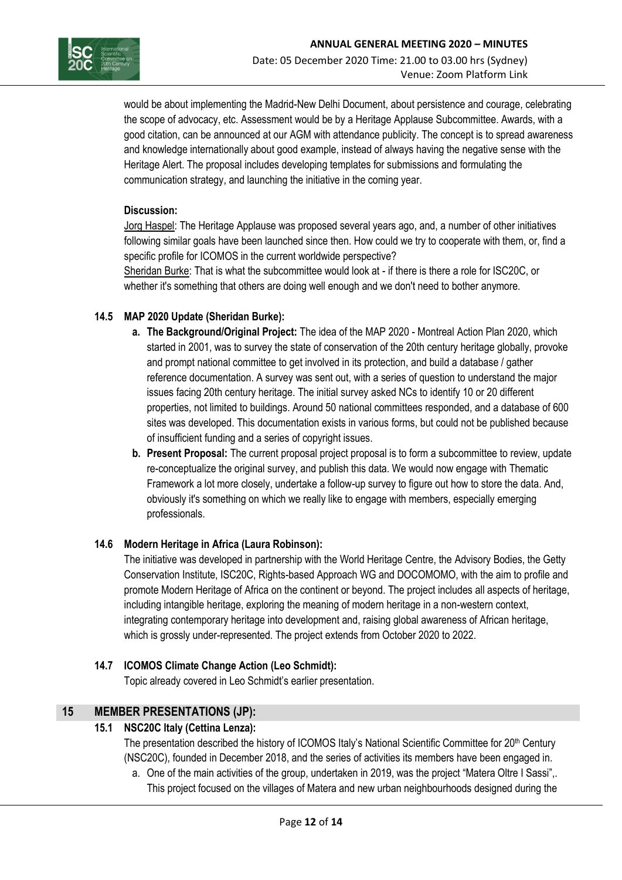

would be about implementing the Madrid-New Delhi Document, about persistence and courage, celebrating the scope of advocacy, etc. Assessment would be by a Heritage Applause Subcommittee. Awards, with a good citation, can be announced at our AGM with attendance publicity. The concept is to spread awareness and knowledge internationally about good example, instead of always having the negative sense with the Heritage Alert. The proposal includes developing templates for submissions and formulating the communication strategy, and launching the initiative in the coming year.

#### **Discussion:**

Jorg Haspel: The Heritage Applause was proposed several years ago, and, a number of other initiatives following similar goals have been launched since then. How could we try to cooperate with them, or, find a specific profile for ICOMOS in the current worldwide perspective?

Sheridan Burke: That is what the subcommittee would look at - if there is there a role for ISC20C, or whether it's something that others are doing well enough and we don't need to bother anymore.

#### **14.5 MAP 2020 Update (Sheridan Burke):**

- **a. The Background/Original Project:** The idea of the MAP 2020 Montreal Action Plan 2020, which started in 2001, was to survey the state of conservation of the 20th century heritage globally, provoke and prompt national committee to get involved in its protection, and build a database / gather reference documentation. A survey was sent out, with a series of question to understand the major issues facing 20th century heritage. The initial survey asked NCs to identify 10 or 20 different properties, not limited to buildings. Around 50 national committees responded, and a database of 600 sites was developed. This documentation exists in various forms, but could not be published because of insufficient funding and a series of copyright issues.
- **b. Present Proposal:** The current proposal project proposal is to form a subcommittee to review, update re-conceptualize the original survey, and publish this data. We would now engage with Thematic Framework a lot more closely, undertake a follow-up survey to figure out how to store the data. And, obviously it's something on which we really like to engage with members, especially emerging professionals.

#### **14.6 Modern Heritage in Africa (Laura Robinson):**

The initiative was developed in partnership with the World Heritage Centre, the Advisory Bodies, the Getty Conservation Institute, ISC20C, Rights-based Approach WG and DOCOMOMO, with the aim to profile and promote Modern Heritage of Africa on the continent or beyond. The project includes all aspects of heritage, including intangible heritage, exploring the meaning of modern heritage in a non-western context, integrating contemporary heritage into development and, raising global awareness of African heritage, which is grossly under-represented. The project extends from October 2020 to 2022.

#### **14.7 ICOMOS Climate Change Action (Leo Schmidt):**

Topic already covered in Leo Schmidt's earlier presentation.

# **15 MEMBER PRESENTATIONS (JP):**

## **15.1 NSC20C Italy (Cettina Lenza):**

The presentation described the history of ICOMOS Italy's National Scientific Committee for 20<sup>th</sup> Century (NSC20C), founded in December 2018, and the series of activities its members have been engaged in.

a. One of the main activities of the group, undertaken in 2019, was the project "Matera Oltre I Sassi",. This project focused on the villages of Matera and new urban neighbourhoods designed during the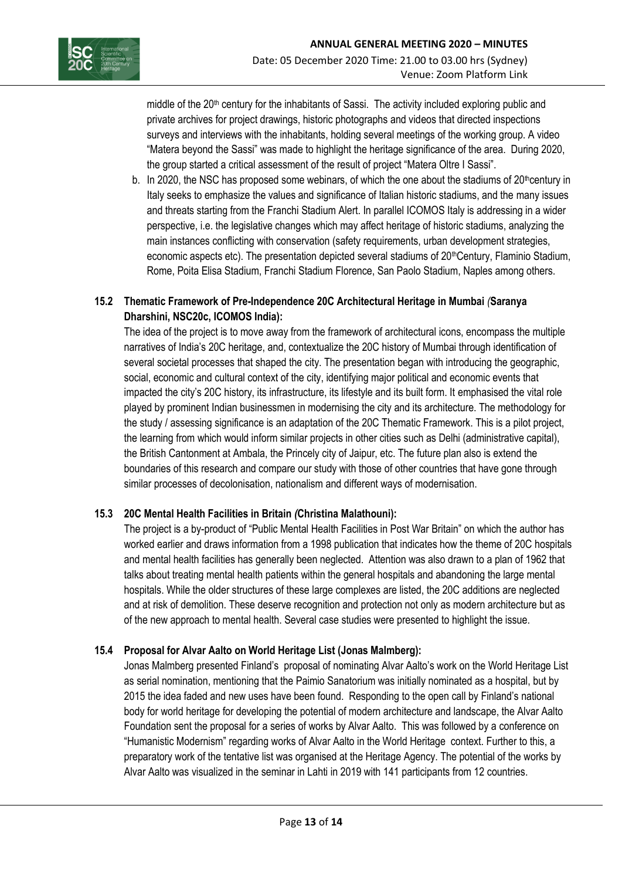

middle of the 20<sup>th</sup> century for the inhabitants of Sassi. The activity included exploring public and private archives for project drawings, historic photographs and videos that directed inspections surveys and interviews with the inhabitants, holding several meetings of the working group. A video "Matera beyond the Sassi" was made to highlight the heritage significance of the area. During 2020, the group started a critical assessment of the result of project "Matera Oltre I Sassi".

b. In 2020, the NSC has proposed some webinars, of which the one about the stadiums of  $20^{\text{th}}$ century in Italy seeks to emphasize the values and significance of Italian historic stadiums, and the many issues and threats starting from the Franchi Stadium Alert. In parallel ICOMOS Italy is addressing in a wider perspective, i.e. the legislative changes which may affect heritage of historic stadiums, analyzing the main instances conflicting with conservation (safety requirements, urban development strategies, economic aspects etc). The presentation depicted several stadiums of 20thCentury, Flaminio Stadium, Rome, Poita Elisa Stadium, Franchi Stadium Florence, San Paolo Stadium, Naples among others.

## **15.2 Thematic Framework of Pre-Independence 20C Architectural Heritage in Mumbai** *(***Saranya Dharshini, NSC20c, ICOMOS India):**

The idea of the project is to move away from the framework of architectural icons, encompass the multiple narratives of India's 20C heritage, and, contextualize the 20C history of Mumbai through identification of several societal processes that shaped the city. The presentation began with introducing the geographic, social, economic and cultural context of the city, identifying major political and economic events that impacted the city's 20C history, its infrastructure, its lifestyle and its built form. It emphasised the vital role played by prominent Indian businessmen in modernising the city and its architecture. The methodology for the study / assessing significance is an adaptation of the 20C Thematic Framework. This is a pilot project, the learning from which would inform similar projects in other cities such as Delhi (administrative capital), the British Cantonment at Ambala, the Princely city of Jaipur, etc. The future plan also is extend the boundaries of this research and compare our study with those of other countries that have gone through similar processes of decolonisation, nationalism and different ways of modernisation.

#### **15.3 20C Mental Health Facilities in Britain** *(***Christina Malathouni):**

The project is a by-product of "Public Mental Health Facilities in Post War Britain" on which the author has worked earlier and draws information from a 1998 publication that indicates how the theme of 20C hospitals and mental health facilities has generally been neglected. Attention was also drawn to a plan of 1962 that talks about treating mental health patients within the general hospitals and abandoning the large mental hospitals. While the older structures of these large complexes are listed, the 20C additions are neglected and at risk of demolition. These deserve recognition and protection not only as modern architecture but as of the new approach to mental health. Several case studies were presented to highlight the issue.

#### **15.4 Proposal for Alvar Aalto on World Heritage List (Jonas Malmberg):**

Jonas Malmberg presented Finland's proposal of nominating Alvar Aalto's work on the World Heritage List as serial nomination, mentioning that the Paimio Sanatorium was initially nominated as a hospital, but by 2015 the idea faded and new uses have been found. Responding to the open call by Finland's national body for world heritage for developing the potential of modern architecture and landscape, the Alvar Aalto Foundation sent the proposal for a series of works by Alvar Aalto. This was followed by a conference on "Humanistic Modernism" regarding works of Alvar Aalto in the World Heritage context. Further to this, a preparatory work of the tentative list was organised at the Heritage Agency. The potential of the works by Alvar Aalto was visualized in the seminar in Lahti in 2019 with 141 participants from 12 countries.